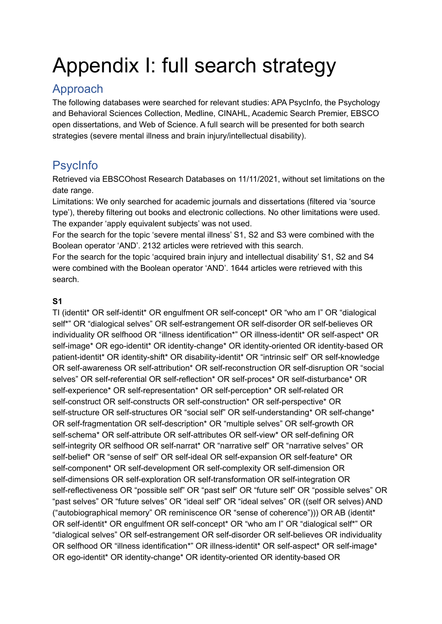# Appendix I: full search strategy

# Approach

The following databases were searched for relevant studies: APA PsycInfo, the Psychology and Behavioral Sciences Collection, Medline, CINAHL, Academic Search Premier, EBSCO open dissertations, and Web of Science. A full search will be presented for both search strategies (severe mental illness and brain injury/intellectual disability).

# **PsycInfo**

Retrieved via EBSCOhost Research Databases on 11/11/2021, without set limitations on the date range.

Limitations: We only searched for academic journals and dissertations (filtered via 'source type'), thereby filtering out books and electronic collections. No other limitations were used. The expander 'apply equivalent subjects' was not used.

For the search for the topic 'severe mental illness' S1, S2 and S3 were combined with the Boolean operator 'AND'. 2132 articles were retrieved with this search.

For the search for the topic 'acquired brain injury and intellectual disability' S1, S2 and S4 were combined with the Boolean operator 'AND'. 1644 articles were retrieved with this search.

# **S1**

TI (identit\* OR self-identit\* OR engulfment OR self-concept\* OR "who am I" OR "dialogical self\*" OR "dialogical selves" OR self-estrangement OR self-disorder OR self-believes OR individuality OR selfhood OR "illness identification\*" OR illness-identit\* OR self-aspect\* OR self-image\* OR ego-identit\* OR identity-change\* OR identity-oriented OR identity-based OR patient-identit\* OR identity-shift\* OR disability-identit\* OR "intrinsic self" OR self-knowledge OR self-awareness OR self-attribution\* OR self-reconstruction OR self-disruption OR "social selves" OR self-referential OR self-reflection\* OR self-proces\* OR self-disturbance\* OR self-experience\* OR self-representation\* OR self-perception\* OR self-related OR self-construct OR self-constructs OR self-construction\* OR self-perspective\* OR self-structure OR self-structures OR "social self" OR self-understanding\* OR self-change\* OR self-fragmentation OR self-description\* OR "multiple selves" OR self-growth OR self-schema\* OR self-attribute OR self-attributes OR self-view\* OR self-defining OR self-integrity OR selfhood OR self-narrat\* OR "narrative self" OR "narrative selves" OR self-belief\* OR "sense of self" OR self-ideal OR self-expansion OR self-feature\* OR self-component\* OR self-development OR self-complexity OR self-dimension OR self-dimensions OR self-exploration OR self-transformation OR self-integration OR self-reflectiveness OR "possible self" OR "past self" OR "future self" OR "possible selves" OR "past selves" OR "future selves" OR "ideal self" OR "ideal selves" OR ((self OR selves) AND ("autobiographical memory" OR reminiscence OR "sense of coherence"))) OR AB (identit\* OR self-identit\* OR engulfment OR self-concept\* OR "who am I" OR "dialogical self\*" OR "dialogical selves" OR self-estrangement OR self-disorder OR self-believes OR individuality OR selfhood OR "illness identification\*" OR illness-identit\* OR self-aspect\* OR self-image\* OR ego-identit\* OR identity-change\* OR identity-oriented OR identity-based OR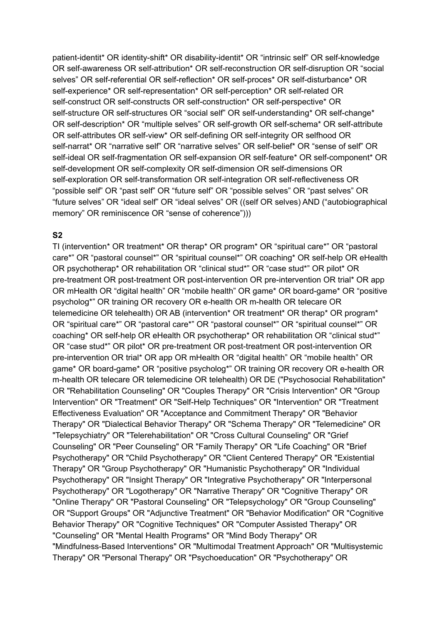patient-identit\* OR identity-shift\* OR disability-identit\* OR "intrinsic self" OR self-knowledge OR self-awareness OR self-attribution\* OR self-reconstruction OR self-disruption OR "social selves" OR self-referential OR self-reflection\* OR self-proces\* OR self-disturbance\* OR self-experience\* OR self-representation\* OR self-perception\* OR self-related OR self-construct OR self-constructs OR self-construction\* OR self-perspective\* OR self-structure OR self-structures OR "social self" OR self-understanding\* OR self-change\* OR self-description\* OR "multiple selves" OR self-growth OR self-schema\* OR self-attribute OR self-attributes OR self-view\* OR self-defining OR self-integrity OR selfhood OR self-narrat\* OR "narrative self" OR "narrative selves" OR self-belief\* OR "sense of self" OR self-ideal OR self-fragmentation OR self-expansion OR self-feature\* OR self-component\* OR self-development OR self-complexity OR self-dimension OR self-dimensions OR self-exploration OR self-transformation OR self-integration OR self-reflectiveness OR "possible self" OR "past self" OR "future self" OR "possible selves" OR "past selves" OR "future selves" OR "ideal self" OR "ideal selves" OR ((self OR selves) AND ("autobiographical memory" OR reminiscence OR "sense of coherence")))

#### **S2**

TI (intervention\* OR treatment\* OR therap\* OR program\* OR "spiritual care\*" OR "pastoral care\*" OR "pastoral counsel\*" OR "spiritual counsel\*" OR coaching\* OR self-help OR eHealth OR psychotherap\* OR rehabilitation OR "clinical stud\*" OR "case stud\*" OR pilot\* OR pre-treatment OR post-treatment OR post-intervention OR pre-intervention OR trial\* OR app OR mHealth OR "digital health" OR "mobile health" OR game\* OR board-game\* OR "positive psycholog\*" OR training OR recovery OR e-health OR m-health OR telecare OR telemedicine OR telehealth) OR AB (intervention\* OR treatment\* OR therap\* OR program\* OR "spiritual care\*" OR "pastoral care\*" OR "pastoral counsel\*" OR "spiritual counsel\*" OR coaching\* OR self-help OR eHealth OR psychotherap\* OR rehabilitation OR "clinical stud\*" OR "case stud\*" OR pilot\* OR pre-treatment OR post-treatment OR post-intervention OR pre-intervention OR trial\* OR app OR mHealth OR "digital health" OR "mobile health" OR game\* OR board-game\* OR "positive psycholog\*" OR training OR recovery OR e-health OR m-health OR telecare OR telemedicine OR telehealth) OR DE ("Psychosocial Rehabilitation" OR "Rehabilitation Counseling" OR "Couples Therapy" OR "Crisis Intervention" OR "Group Intervention" OR "Treatment" OR "Self-Help Techniques" OR "Intervention" OR "Treatment Effectiveness Evaluation" OR "Acceptance and Commitment Therapy" OR "Behavior Therapy" OR "Dialectical Behavior Therapy" OR "Schema Therapy" OR "Telemedicine" OR "Telepsychiatry" OR "Telerehabilitation" OR "Cross Cultural Counseling" OR "Grief Counseling" OR "Peer Counseling" OR "Family Therapy" OR "Life Coaching" OR "Brief Psychotherapy" OR "Child Psychotherapy" OR "Client Centered Therapy" OR "Existential Therapy" OR "Group Psychotherapy" OR "Humanistic Psychotherapy" OR "Individual Psychotherapy" OR "Insight Therapy" OR "Integrative Psychotherapy" OR "Interpersonal Psychotherapy" OR "Logotherapy" OR "Narrative Therapy" OR "Cognitive Therapy" OR "Online Therapy" OR "Pastoral Counseling" OR "Telepsychology" OR "Group Counseling" OR "Support Groups" OR "Adjunctive Treatment" OR "Behavior Modification" OR "Cognitive Behavior Therapy" OR "Cognitive Techniques" OR "Computer Assisted Therapy" OR "Counseling" OR "Mental Health Programs" OR "Mind Body Therapy" OR "Mindfulness-Based Interventions" OR "Multimodal Treatment Approach" OR "Multisystemic Therapy" OR "Personal Therapy" OR "Psychoeducation" OR "Psychotherapy" OR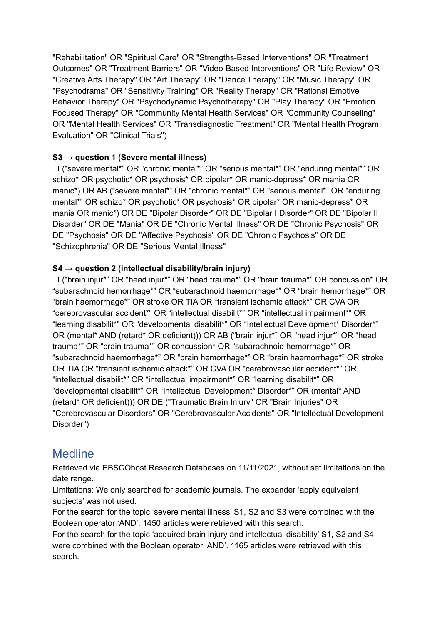"Rehabilitation" OR "Spiritual Care" OR "Strengths-Based Interventions" OR "Treatment Outcomes" OR "Treatment Barriers" OR "Video-Based Interventions" OR "Life Review" OR "Creative Arts Therapy" OR "Art Therapy" OR "Dance Therapy" OR "Music Therapy" OR "Psychodrama" OR "Sensitivity Training" OR "Reality Therapy" OR "Rational Emotive Behavior Therapy" OR "Psychodynamic Psychotherapy" OR "Play Therapy" OR "Emotion Focused Therapy" OR "Community Mental Health Services" OR "Community Counseling" OR "Mental Health Services" OR "Transdiagnostic Treatment" OR "Mental Health Program Evaluation" OR "Clinical Trials")

## **S3 → question 1 (Severe mental illness)**

TI ("severe mental\*" OR "chronic mental\*" OR "serious mental\*" OR "enduring mental\*" OR schizo\* OR psychotic\* OR psychosis\* OR bipolar\* OR manic-depress\* OR mania OR manic\*) OR AB ("severe mental\*" OR "chronic mental\*" OR "serious mental\*" OR "enduring mental\*" OR schizo\* OR psychotic\* OR psychosis\* OR bipolar\* OR manic-depress\* OR mania OR manic\*) OR DE "Bipolar Disorder" OR DE "Bipolar I Disorder" OR DE "Bipolar II Disorder" OR DE "Mania" OR DE "Chronic Mental Illness" OR DE "Chronic Psychosis" OR DE "Psychosis" OR DE "Affective Psychosis" OR DE "Chronic Psychosis" OR DE "Schizophrenia" OR DE "Serious Mental Illness"

## **S4 → question 2 (intellectual disability/brain injury)**

TI ("brain injur\*" OR "head injur\*" OR "head trauma\*" OR "brain trauma\*" OR concussion\* OR "subarachnoid hemorrhage\*" OR "subarachnoid haemorrhage\*" OR "brain hemorrhage\*" OR "brain haemorrhage\*" OR stroke OR TIA OR "transient ischemic attack\*" OR CVA OR "cerebrovascular accident\*" OR "intellectual disabilit\*" OR "intellectual impairment\*" OR "learning disabilit\*" OR "developmental disabilit\*" OR "Intellectual Development\* Disorder\*" OR (mental\* AND (retard\* OR deficient))) OR AB ("brain injur\*" OR "head injur\*" OR "head trauma\*" OR "brain trauma\*" OR concussion\* OR "subarachnoid hemorrhage\*" OR "subarachnoid haemorrhage\*" OR "brain hemorrhage\*" OR "brain haemorrhage\*" OR stroke OR TIA OR "transient ischemic attack\*" OR CVA OR "cerebrovascular accident\*" OR "intellectual disabilit\*" OR "intellectual impairment\*" OR "learning disabilit\*" OR "developmental disabilit\*" OR "Intellectual Development\* Disorder\*" OR (mental\* AND (retard\* OR deficient))) OR DE ("Traumatic Brain Injury" OR "Brain Injuries" OR "Cerebrovascular Disorders" OR "Cerebrovascular Accidents" OR "Intellectual Development Disorder")

# **Medline**

Retrieved via EBSCOhost Research Databases on 11/11/2021, without set limitations on the date range.

Limitations: We only searched for academic journals. The expander 'apply equivalent subjects' was not used.

For the search for the topic 'severe mental illness' S1, S2 and S3 were combined with the Boolean operator 'AND'. 1450 articles were retrieved with this search.

For the search for the topic 'acquired brain injury and intellectual disability' S1, S2 and S4 were combined with the Boolean operator 'AND'. 1165 articles were retrieved with this search.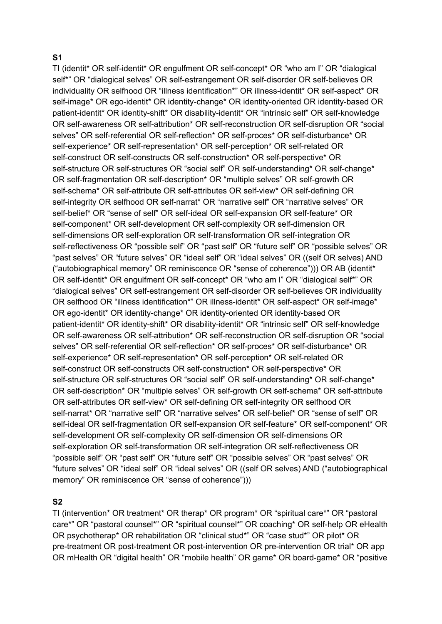#### **S1**

TI (identit\* OR self-identit\* OR engulfment OR self-concept\* OR "who am I" OR "dialogical self\*" OR "dialogical selves" OR self-estrangement OR self-disorder OR self-believes OR individuality OR selfhood OR "illness identification\*" OR illness-identit\* OR self-aspect\* OR self-image\* OR ego-identit\* OR identity-change\* OR identity-oriented OR identity-based OR patient-identit\* OR identity-shift\* OR disability-identit\* OR "intrinsic self" OR self-knowledge OR self-awareness OR self-attribution\* OR self-reconstruction OR self-disruption OR "social selves" OR self-referential OR self-reflection\* OR self-proces\* OR self-disturbance\* OR self-experience\* OR self-representation\* OR self-perception\* OR self-related OR self-construct OR self-constructs OR self-construction\* OR self-perspective\* OR self-structure OR self-structures OR "social self" OR self-understanding\* OR self-change\* OR self-fragmentation OR self-description\* OR "multiple selves" OR self-growth OR self-schema\* OR self-attribute OR self-attributes OR self-view\* OR self-defining OR self-integrity OR selfhood OR self-narrat<sup>\*</sup> OR "narrative self" OR "narrative selves" OR self-belief\* OR "sense of self" OR self-ideal OR self-expansion OR self-feature\* OR self-component\* OR self-development OR self-complexity OR self-dimension OR self-dimensions OR self-exploration OR self-transformation OR self-integration OR self-reflectiveness OR "possible self" OR "past self" OR "future self" OR "possible selves" OR "past selves" OR "future selves" OR "ideal self" OR "ideal selves" OR ((self OR selves) AND ("autobiographical memory" OR reminiscence OR "sense of coherence"))) OR AB (identit\* OR self-identit\* OR engulfment OR self-concept\* OR "who am I" OR "dialogical self\*" OR "dialogical selves" OR self-estrangement OR self-disorder OR self-believes OR individuality OR selfhood OR "illness identification\*" OR illness-identit\* OR self-aspect\* OR self-image\* OR ego-identit\* OR identity-change\* OR identity-oriented OR identity-based OR patient-identit\* OR identity-shift\* OR disability-identit\* OR "intrinsic self" OR self-knowledge OR self-awareness OR self-attribution\* OR self-reconstruction OR self-disruption OR "social selves" OR self-referential OR self-reflection\* OR self-proces\* OR self-disturbance\* OR self-experience\* OR self-representation\* OR self-perception\* OR self-related OR self-construct OR self-constructs OR self-construction\* OR self-perspective\* OR self-structure OR self-structures OR "social self" OR self-understanding\* OR self-change\* OR self-description\* OR "multiple selves" OR self-growth OR self-schema\* OR self-attribute OR self-attributes OR self-view\* OR self-defining OR self-integrity OR selfhood OR self-narrat\* OR "narrative self" OR "narrative selves" OR self-belief\* OR "sense of self" OR self-ideal OR self-fragmentation OR self-expansion OR self-feature\* OR self-component\* OR self-development OR self-complexity OR self-dimension OR self-dimensions OR self-exploration OR self-transformation OR self-integration OR self-reflectiveness OR "possible self" OR "past self" OR "future self" OR "possible selves" OR "past selves" OR "future selves" OR "ideal self" OR "ideal selves" OR ((self OR selves) AND ("autobiographical memory" OR reminiscence OR "sense of coherence")))

#### **S2**

TI (intervention\* OR treatment\* OR therap\* OR program\* OR "spiritual care\*" OR "pastoral care\*" OR "pastoral counsel\*" OR "spiritual counsel\*" OR coaching\* OR self-help OR eHealth OR psychotherap\* OR rehabilitation OR "clinical stud\*" OR "case stud\*" OR pilot\* OR pre-treatment OR post-treatment OR post-intervention OR pre-intervention OR trial\* OR app OR mHealth OR "digital health" OR "mobile health" OR game\* OR board-game\* OR "positive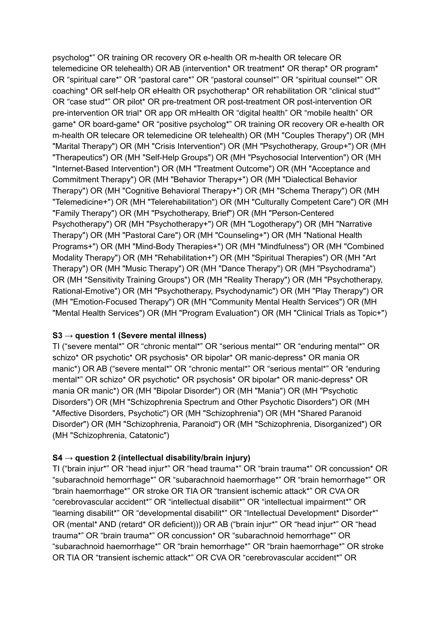psycholog\*" OR training OR recovery OR e-health OR m-health OR telecare OR telemedicine OR telehealth) OR AB (intervention\* OR treatment\* OR therap\* OR program\* OR "spiritual care\*" OR "pastoral care\*" OR "pastoral counsel\*" OR "spiritual counsel\*" OR coaching\* OR self-help OR eHealth OR psychotherap\* OR rehabilitation OR "clinical stud\*" OR "case stud\*" OR pilot\* OR pre-treatment OR post-treatment OR post-intervention OR pre-intervention OR trial\* OR app OR mHealth OR "digital health" OR "mobile health" OR game\* OR board-game\* OR "positive psycholog\*" OR training OR recovery OR e-health OR m-health OR telecare OR telemedicine OR telehealth) OR (MH "Couples Therapy") OR (MH "Marital Therapy") OR (MH "Crisis Intervention") OR (MH "Psychotherapy, Group+") OR (MH "Therapeutics") OR (MH "Self-Help Groups") OR (MH "Psychosocial Intervention") OR (MH "Internet-Based Intervention") OR (MH "Treatment Outcome") OR (MH "Acceptance and Commitment Therapy") OR (MH "Behavior Therapy+") OR (MH "Dialectical Behavior Therapy") OR (MH "Cognitive Behavioral Therapy+") OR (MH "Schema Therapy") OR (MH "Telemedicine+") OR (MH "Telerehabilitation") OR (MH "Culturally Competent Care") OR (MH "Family Therapy") OR (MH "Psychotherapy, Brief") OR (MH "Person-Centered Psychotherapy") OR (MH "Psychotherapy+") OR (MH "Logotherapy") OR (MH "Narrative Therapy") OR (MH "Pastoral Care") OR (MH "Counseling+") OR (MH "National Health Programs+") OR (MH "Mind-Body Therapies+") OR (MH "Mindfulness") OR (MH "Combined Modality Therapy") OR (MH "Rehabilitation+") OR (MH "Spiritual Therapies") OR (MH "Art Therapy") OR (MH "Music Therapy") OR (MH "Dance Therapy") OR (MH "Psychodrama") OR (MH "Sensitivity Training Groups") OR (MH "Reality Therapy") OR (MH "Psychotherapy, Rational-Emotive") OR (MH "Psychotherapy, Psychodynamic") OR (MH "Play Therapy") OR (MH "Emotion-Focused Therapy") OR (MH "Community Mental Health Services") OR (MH "Mental Health Services") OR (MH "Program Evaluation") OR (MH "Clinical Trials as Topic+")

## **S3 → question 1 (Severe mental illness)**

TI ("severe mental\*" OR "chronic mental\*" OR "serious mental\*" OR "enduring mental\*" OR schizo\* OR psychotic\* OR psychosis\* OR bipolar\* OR manic-depress\* OR mania OR manic\*) OR AB ("severe mental\*" OR "chronic mental\*" OR "serious mental\*" OR "enduring mental\*" OR schizo\* OR psychotic\* OR psychosis\* OR bipolar\* OR manic-depress\* OR mania OR manic\*) OR (MH "Bipolar Disorder") OR (MH "Mania") OR (MH "Psychotic Disorders") OR (MH "Schizophrenia Spectrum and Other Psychotic Disorders") OR (MH "Affective Disorders, Psychotic") OR (MH "Schizophrenia") OR (MH "Shared Paranoid Disorder") OR (MH "Schizophrenia, Paranoid") OR (MH "Schizophrenia, Disorganized") OR (MH "Schizophrenia, Catatonic")

## **S4 → question 2 (intellectual disability/brain injury)**

TI ("brain injur\*" OR "head injur\*" OR "head trauma\*" OR "brain trauma\*" OR concussion\* OR "subarachnoid hemorrhage\*" OR "subarachnoid haemorrhage\*" OR "brain hemorrhage\*" OR "brain haemorrhage\*" OR stroke OR TIA OR "transient ischemic attack\*" OR CVA OR "cerebrovascular accident\*" OR "intellectual disabilit\*" OR "intellectual impairment\*" OR "learning disabilit\*" OR "developmental disabilit\*" OR "Intellectual Development\* Disorder\*" OR (mental\* AND (retard\* OR deficient))) OR AB ("brain injur\*" OR "head injur\*" OR "head trauma\*" OR "brain trauma\*" OR concussion\* OR "subarachnoid hemorrhage\*" OR "subarachnoid haemorrhage\*" OR "brain hemorrhage\*" OR "brain haemorrhage\*" OR stroke OR TIA OR "transient ischemic attack\*" OR CVA OR "cerebrovascular accident\*" OR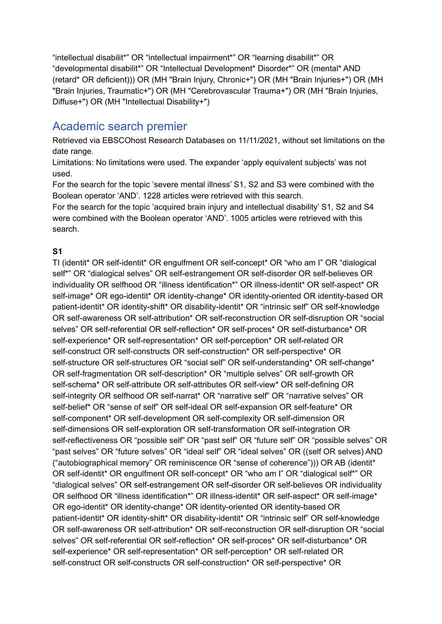"intellectual disabilit\*" OR "intellectual impairment\*" OR "learning disabilit\*" OR "developmental disabilit\*" OR "Intellectual Development\* Disorder\*" OR (mental\* AND (retard\* OR deficient))) OR (MH "Brain Injury, Chronic+") OR (MH "Brain Injuries+") OR (MH "Brain Injuries, Traumatic+") OR (MH "Cerebrovascular Trauma+") OR (MH "Brain Injuries, Diffuse+") OR (MH "Intellectual Disability+")

# Academic search premier

Retrieved via EBSCOhost Research Databases on 11/11/2021, without set limitations on the date range.

Limitations: No limitations were used. The expander 'apply equivalent subjects' was not used.

For the search for the topic 'severe mental illness' S1, S2 and S3 were combined with the Boolean operator 'AND'. 1228 articles were retrieved with this search.

For the search for the topic 'acquired brain injury and intellectual disability' S1, S2 and S4 were combined with the Boolean operator 'AND'. 1005 articles were retrieved with this search.

## **S1**

TI (identit\* OR self-identit\* OR engulfment OR self-concept\* OR "who am I" OR "dialogical self\*" OR "dialogical selves" OR self-estrangement OR self-disorder OR self-believes OR individuality OR selfhood OR "illness identification\*" OR illness-identit\* OR self-aspect\* OR self-image\* OR ego-identit\* OR identity-change\* OR identity-oriented OR identity-based OR patient-identit\* OR identity-shift\* OR disability-identit\* OR "intrinsic self" OR self-knowledge OR self-awareness OR self-attribution\* OR self-reconstruction OR self-disruption OR "social selves" OR self-referential OR self-reflection\* OR self-proces\* OR self-disturbance\* OR self-experience\* OR self-representation\* OR self-perception\* OR self-related OR self-construct OR self-constructs OR self-construction\* OR self-perspective\* OR self-structure OR self-structures OR "social self" OR self-understanding\* OR self-change\* OR self-fragmentation OR self-description\* OR "multiple selves" OR self-growth OR self-schema\* OR self-attribute OR self-attributes OR self-view\* OR self-defining OR self-integrity OR selfhood OR self-narrat\* OR "narrative self" OR "narrative selves" OR self-belief\* OR "sense of self" OR self-ideal OR self-expansion OR self-feature\* OR self-component\* OR self-development OR self-complexity OR self-dimension OR self-dimensions OR self-exploration OR self-transformation OR self-integration OR self-reflectiveness OR "possible self" OR "past self" OR "future self" OR "possible selves" OR "past selves" OR "future selves" OR "ideal self" OR "ideal selves" OR ((self OR selves) AND ("autobiographical memory" OR reminiscence OR "sense of coherence"))) OR AB (identit\* OR self-identit\* OR engulfment OR self-concept\* OR "who am I" OR "dialogical self\*" OR "dialogical selves" OR self-estrangement OR self-disorder OR self-believes OR individuality OR selfhood OR "illness identification\*" OR illness-identit\* OR self-aspect\* OR self-image\* OR ego-identit\* OR identity-change\* OR identity-oriented OR identity-based OR patient-identit\* OR identity-shift\* OR disability-identit\* OR "intrinsic self" OR self-knowledge OR self-awareness OR self-attribution\* OR self-reconstruction OR self-disruption OR "social selves" OR self-referential OR self-reflection\* OR self-proces\* OR self-disturbance\* OR self-experience\* OR self-representation\* OR self-perception\* OR self-related OR self-construct OR self-constructs OR self-construction\* OR self-perspective\* OR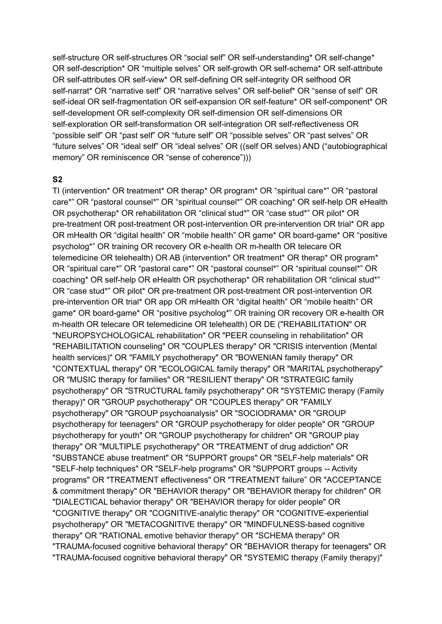self-structure OR self-structures OR "social self" OR self-understanding\* OR self-change\* OR self-description\* OR "multiple selves" OR self-growth OR self-schema\* OR self-attribute OR self-attributes OR self-view\* OR self-defining OR self-integrity OR selfhood OR self-narrat\* OR "narrative self" OR "narrative selves" OR self-belief\* OR "sense of self" OR self-ideal OR self-fragmentation OR self-expansion OR self-feature\* OR self-component\* OR self-development OR self-complexity OR self-dimension OR self-dimensions OR self-exploration OR self-transformation OR self-integration OR self-reflectiveness OR "possible self" OR "past self" OR "future self" OR "possible selves" OR "past selves" OR "future selves" OR "ideal self" OR "ideal selves" OR ((self OR selves) AND ("autobiographical memory" OR reminiscence OR "sense of coherence")))

#### **S2**

TI (intervention\* OR treatment\* OR therap\* OR program\* OR "spiritual care\*" OR "pastoral care\*" OR "pastoral counsel\*" OR "spiritual counsel\*" OR coaching\* OR self-help OR eHealth OR psychotherap\* OR rehabilitation OR "clinical stud\*" OR "case stud\*" OR pilot\* OR pre-treatment OR post-treatment OR post-intervention OR pre-intervention OR trial\* OR app OR mHealth OR "digital health" OR "mobile health" OR game\* OR board-game\* OR "positive psycholog\*" OR training OR recovery OR e-health OR m-health OR telecare OR telemedicine OR telehealth) OR AB (intervention\* OR treatment\* OR therap\* OR program\* OR "spiritual care\*" OR "pastoral care\*" OR "pastoral counsel\*" OR "spiritual counsel\*" OR coaching\* OR self-help OR eHealth OR psychotherap\* OR rehabilitation OR "clinical stud\*" OR "case stud\*" OR pilot\* OR pre-treatment OR post-treatment OR post-intervention OR pre-intervention OR trial\* OR app OR mHealth OR "digital health" OR "mobile health" OR game\* OR board-game\* OR "positive psycholog\*" OR training OR recovery OR e-health OR m-health OR telecare OR telemedicine OR telehealth) OR DE ("REHABILITATION" OR "NEUROPSYCHOLOGICAL rehabilitation" OR "PEER counseling in rehabilitation" OR "REHABILITATION counseling" OR "COUPLES therapy" OR "CRISIS intervention (Mental health services)" OR "FAMILY psychotherapy" OR "BOWENIAN family therapy" OR "CONTEXTUAL therapy" OR "ECOLOGICAL family therapy" OR "MARITAL psychotherapy" OR "MUSIC therapy for families" OR "RESILIENT therapy" OR "STRATEGIC family psychotherapy" OR "STRUCTURAL family psychotherapy" OR "SYSTEMIC therapy (Family therapy)" OR "GROUP psychotherapy" OR "COUPLES therapy" OR "FAMILY psychotherapy" OR "GROUP psychoanalysis" OR "SOCIODRAMA" OR "GROUP psychotherapy for teenagers" OR "GROUP psychotherapy for older people" OR "GROUP psychotherapy for youth" OR "GROUP psychotherapy for children" OR "GROUP play therapy" OR "MULTIPLE psychotherapy" OR "TREATMENT of drug addiction" OR "SUBSTANCE abuse treatment" OR "SUPPORT groups" OR "SELF-help materials" OR "SELF-help techniques" OR "SELF-help programs" OR "SUPPORT groups -- Activity programs" OR "TREATMENT effectiveness" OR "TREATMENT failure" OR "ACCEPTANCE & commitment therapy" OR "BEHAVIOR therapy" OR "BEHAVIOR therapy for children" OR "DIALECTICAL behavior therapy" OR "BEHAVIOR therapy for older people" OR "COGNITIVE therapy" OR "COGNITIVE-analytic therapy" OR "COGNITIVE-experiential psychotherapy" OR "METACOGNITIVE therapy" OR "MINDFULNESS-based cognitive therapy" OR "RATIONAL emotive behavior therapy" OR "SCHEMA therapy" OR "TRAUMA-focused cognitive behavioral therapy" OR "BEHAVIOR therapy for teenagers" OR "TRAUMA-focused cognitive behavioral therapy" OR "SYSTEMIC therapy (Family therapy)"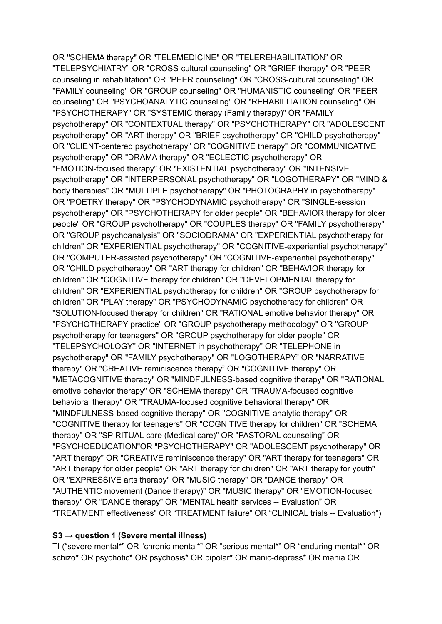OR "SCHEMA therapy" OR "TELEMEDICINE" OR "TELEREHABILITATION" OR "TELEPSYCHIATRY" OR "CROSS-cultural counseling" OR "GRIEF therapy" OR "PEER counseling in rehabilitation" OR "PEER counseling" OR "CROSS-cultural counseling" OR "FAMILY counseling" OR "GROUP counseling" OR "HUMANISTIC counseling" OR "PEER counseling" OR "PSYCHOANALYTIC counseling" OR "REHABILITATION counseling" OR "PSYCHOTHERAPY" OR "SYSTEMIC therapy (Family therapy)" OR "FAMILY psychotherapy" OR "CONTEXTUAL therapy" OR "PSYCHOTHERAPY" OR "ADOLESCENT psychotherapy" OR "ART therapy" OR "BRIEF psychotherapy" OR "CHILD psychotherapy" OR "CLIENT-centered psychotherapy" OR "COGNITIVE therapy" OR "COMMUNICATIVE psychotherapy" OR "DRAMA therapy" OR "ECLECTIC psychotherapy" OR "EMOTION-focused therapy" OR "EXISTENTIAL psychotherapy" OR "INTENSIVE psychotherapy" OR "INTERPERSONAL psychotherapy" OR "LOGOTHERAPY" OR "MIND & body therapies" OR "MULTIPLE psychotherapy" OR "PHOTOGRAPHY in psychotherapy" OR "POETRY therapy" OR "PSYCHODYNAMIC psychotherapy" OR "SINGLE-session psychotherapy" OR "PSYCHOTHERAPY for older people" OR "BEHAVIOR therapy for older people" OR "GROUP psychotherapy" OR "COUPLES therapy" OR "FAMILY psychotherapy" OR "GROUP psychoanalysis" OR "SOCIODRAMA" OR "EXPERIENTIAL psychotherapy for children" OR "EXPERIENTIAL psychotherapy" OR "COGNITIVE-experiential psychotherapy" OR "COMPUTER-assisted psychotherapy" OR "COGNITIVE-experiential psychotherapy" OR "CHILD psychotherapy" OR "ART therapy for children" OR "BEHAVIOR therapy for children" OR "COGNITIVE therapy for children" OR "DEVELOPMENTAL therapy for children" OR "EXPERIENTIAL psychotherapy for children" OR "GROUP psychotherapy for children" OR "PLAY therapy" OR "PSYCHODYNAMIC psychotherapy for children" OR "SOLUTION-focused therapy for children" OR "RATIONAL emotive behavior therapy" OR "PSYCHOTHERAPY practice" OR "GROUP psychotherapy methodology" OR "GROUP psychotherapy for teenagers" OR "GROUP psychotherapy for older people" OR "TELEPSYCHOLOGY" OR "INTERNET in psychotherapy" OR "TELEPHONE in psychotherapy" OR "FAMILY psychotherapy" OR "LOGOTHERAPY" OR "NARRATIVE therapy" OR "CREATIVE reminiscence therapy" OR "COGNITIVE therapy" OR "METACOGNITIVE therapy" OR "MINDFULNESS-based cognitive therapy" OR "RATIONAL emotive behavior therapy" OR "SCHEMA therapy" OR "TRAUMA-focused cognitive behavioral therapy" OR "TRAUMA-focused cognitive behavioral therapy" OR "MINDFULNESS-based cognitive therapy" OR "COGNITIVE-analytic therapy" OR "COGNITIVE therapy for teenagers" OR "COGNITIVE therapy for children" OR "SCHEMA therapy" OR "SPIRITUAL care (Medical care)" OR "PASTORAL counseling" OR "PSYCHOEDUCATION"OR "PSYCHOTHERAPY" OR "ADOLESCENT psychotherapy" OR "ART therapy" OR "CREATIVE reminiscence therapy" OR "ART therapy for teenagers" OR "ART therapy for older people" OR "ART therapy for children" OR "ART therapy for youth" OR "EXPRESSIVE arts therapy" OR "MUSIC therapy" OR "DANCE therapy" OR "AUTHENTIC movement (Dance therapy)" OR "MUSIC therapy" OR "EMOTION-focused therapy" OR "DANCE therapy" OR "MENTAL health services -- Evaluation" OR "TREATMENT effectiveness" OR "TREATMENT failure" OR "CLINICAL trials -- Evaluation")

#### **S3 → question 1 (Severe mental illness)**

TI ("severe mental\*" OR "chronic mental\*" OR "serious mental\*" OR "enduring mental\*" OR schizo\* OR psychotic\* OR psychosis\* OR bipolar\* OR manic-depress\* OR mania OR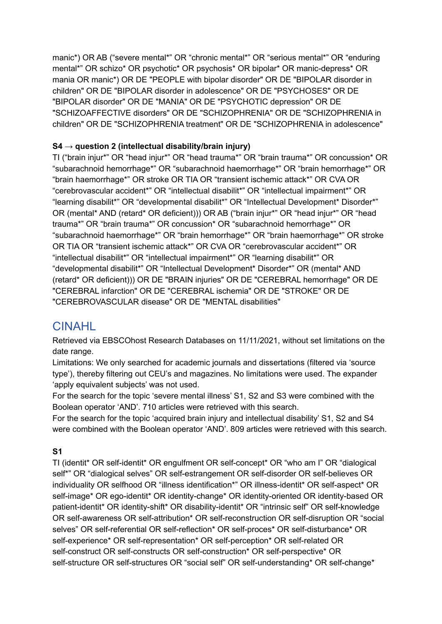manic\*) OR AB ("severe mental\*" OR "chronic mental\*" OR "serious mental\*" OR "enduring mental\*" OR schizo\* OR psychotic\* OR psychosis\* OR bipolar\* OR manic-depress\* OR mania OR manic\*) OR DE "PEOPLE with bipolar disorder" OR DE "BIPOLAR disorder in children" OR DE "BIPOLAR disorder in adolescence" OR DE "PSYCHOSES" OR DE "BIPOLAR disorder" OR DE "MANIA" OR DE "PSYCHOTIC depression" OR DE "SCHIZOAFFECTIVE disorders" OR DE "SCHIZOPHRENIA" OR DE "SCHIZOPHRENIA in children" OR DE "SCHIZOPHRENIA treatment" OR DE "SCHIZOPHRENIA in adolescence"

## **S4 → question 2 (intellectual disability/brain injury)**

TI ("brain injur\*" OR "head injur\*" OR "head trauma\*" OR "brain trauma\*" OR concussion\* OR "subarachnoid hemorrhage\*" OR "subarachnoid haemorrhage\*" OR "brain hemorrhage\*" OR "brain haemorrhage\*" OR stroke OR TIA OR "transient ischemic attack\*" OR CVA OR "cerebrovascular accident\*" OR "intellectual disabilit\*" OR "intellectual impairment\*" OR "learning disabilit\*" OR "developmental disabilit\*" OR "Intellectual Development\* Disorder\*" OR (mental\* AND (retard\* OR deficient))) OR AB ("brain injur\*" OR "head injur\*" OR "head trauma\*" OR "brain trauma\*" OR concussion\* OR "subarachnoid hemorrhage\*" OR "subarachnoid haemorrhage\*" OR "brain hemorrhage\*" OR "brain haemorrhage\*" OR stroke OR TIA OR "transient ischemic attack\*" OR CVA OR "cerebrovascular accident\*" OR "intellectual disabilit\*" OR "intellectual impairment\*" OR "learning disabilit\*" OR "developmental disabilit\*" OR "Intellectual Development\* Disorder\*" OR (mental\* AND (retard\* OR deficient))) OR DE "BRAIN injuries" OR DE "CEREBRAL hemorrhage" OR DE "CEREBRAL infarction" OR DE "CEREBRAL ischemia" OR DE "STROKE" OR DE "CEREBROVASCULAR disease" OR DE "MENTAL disabilities"

# CINAHL

Retrieved via EBSCOhost Research Databases on 11/11/2021, without set limitations on the date range.

Limitations: We only searched for academic journals and dissertations (filtered via 'source type'), thereby filtering out CEU's and magazines. No limitations were used. The expander 'apply equivalent subjects' was not used.

For the search for the topic 'severe mental illness' S1, S2 and S3 were combined with the Boolean operator 'AND'. 710 articles were retrieved with this search.

For the search for the topic 'acquired brain injury and intellectual disability' S1, S2 and S4 were combined with the Boolean operator 'AND'. 809 articles were retrieved with this search.

## **S1**

TI (identit\* OR self-identit\* OR engulfment OR self-concept\* OR "who am I" OR "dialogical self\*" OR "dialogical selves" OR self-estrangement OR self-disorder OR self-believes OR individuality OR selfhood OR "illness identification\*" OR illness-identit\* OR self-aspect\* OR self-image\* OR ego-identit\* OR identity-change\* OR identity-oriented OR identity-based OR patient-identit\* OR identity-shift\* OR disability-identit\* OR "intrinsic self" OR self-knowledge OR self-awareness OR self-attribution\* OR self-reconstruction OR self-disruption OR "social selves" OR self-referential OR self-reflection\* OR self-proces\* OR self-disturbance\* OR self-experience\* OR self-representation\* OR self-perception\* OR self-related OR self-construct OR self-constructs OR self-construction\* OR self-perspective\* OR self-structure OR self-structures OR "social self" OR self-understanding\* OR self-change\*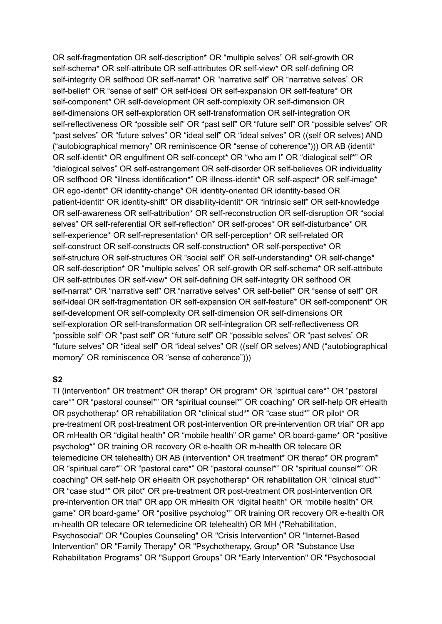OR self-fragmentation OR self-description\* OR "multiple selves" OR self-growth OR self-schema\* OR self-attribute OR self-attributes OR self-view\* OR self-defining OR self-integrity OR selfhood OR self-narrat\* OR "narrative self" OR "narrative selves" OR self-belief\* OR "sense of self" OR self-ideal OR self-expansion OR self-feature\* OR self-component\* OR self-development OR self-complexity OR self-dimension OR self-dimensions OR self-exploration OR self-transformation OR self-integration OR self-reflectiveness OR "possible self" OR "past self" OR "future self" OR "possible selves" OR "past selves" OR "future selves" OR "ideal self" OR "ideal selves" OR ((self OR selves) AND ("autobiographical memory" OR reminiscence OR "sense of coherence"))) OR AB (identit\* OR self-identit\* OR engulfment OR self-concept\* OR "who am I" OR "dialogical self\*" OR "dialogical selves" OR self-estrangement OR self-disorder OR self-believes OR individuality OR selfhood OR "illness identification\*" OR illness-identit\* OR self-aspect\* OR self-image\* OR ego-identit\* OR identity-change\* OR identity-oriented OR identity-based OR patient-identit\* OR identity-shift\* OR disability-identit\* OR "intrinsic self" OR self-knowledge OR self-awareness OR self-attribution\* OR self-reconstruction OR self-disruption OR "social selves" OR self-referential OR self-reflection\* OR self-proces\* OR self-disturbance\* OR self-experience\* OR self-representation\* OR self-perception\* OR self-related OR self-construct OR self-constructs OR self-construction\* OR self-perspective\* OR self-structure OR self-structures OR "social self" OR self-understanding\* OR self-change\* OR self-description\* OR "multiple selves" OR self-growth OR self-schema\* OR self-attribute OR self-attributes OR self-view\* OR self-defining OR self-integrity OR selfhood OR self-narrat\* OR "narrative self" OR "narrative selves" OR self-belief\* OR "sense of self" OR self-ideal OR self-fragmentation OR self-expansion OR self-feature\* OR self-component\* OR self-development OR self-complexity OR self-dimension OR self-dimensions OR self-exploration OR self-transformation OR self-integration OR self-reflectiveness OR "possible self" OR "past self" OR "future self" OR "possible selves" OR "past selves" OR "future selves" OR "ideal self" OR "ideal selves" OR ((self OR selves) AND ("autobiographical memory" OR reminiscence OR "sense of coherence")))

#### **S2**

TI (intervention\* OR treatment\* OR therap\* OR program\* OR "spiritual care\*" OR "pastoral care\*" OR "pastoral counsel\*" OR "spiritual counsel\*" OR coaching\* OR self-help OR eHealth OR psychotherap\* OR rehabilitation OR "clinical stud\*" OR "case stud\*" OR pilot\* OR pre-treatment OR post-treatment OR post-intervention OR pre-intervention OR trial\* OR app OR mHealth OR "digital health" OR "mobile health" OR game\* OR board-game\* OR "positive psycholog\*" OR training OR recovery OR e-health OR m-health OR telecare OR telemedicine OR telehealth) OR AB (intervention\* OR treatment\* OR therap\* OR program\* OR "spiritual care\*" OR "pastoral care\*" OR "pastoral counsel\*" OR "spiritual counsel\*" OR coaching\* OR self-help OR eHealth OR psychotherap\* OR rehabilitation OR "clinical stud\*" OR "case stud\*" OR pilot\* OR pre-treatment OR post-treatment OR post-intervention OR pre-intervention OR trial\* OR app OR mHealth OR "digital health" OR "mobile health" OR game\* OR board-game\* OR "positive psycholog\*" OR training OR recovery OR e-health OR m-health OR telecare OR telemedicine OR telehealth) OR MH ("Rehabilitation, Psychosocial" OR "Couples Counseling" OR "Crisis Intervention" OR "Internet-Based Intervention" OR "Family Therapy" OR "Psychotherapy, Group" OR "Substance Use Rehabilitation Programs" OR "Support Groups" OR "Early Intervention" OR "Psychosocial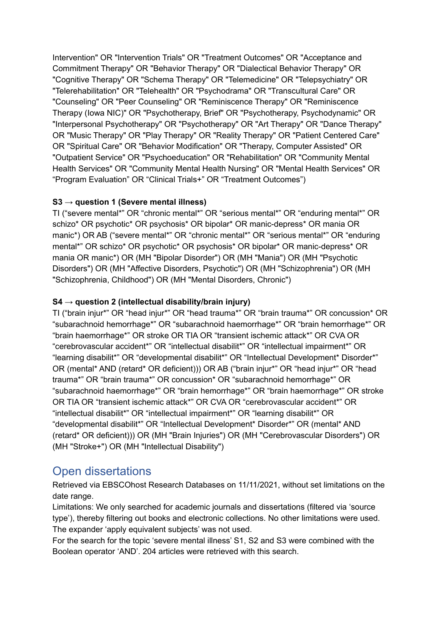Intervention" OR "Intervention Trials" OR "Treatment Outcomes" OR "Acceptance and Commitment Therapy" OR "Behavior Therapy" OR "Dialectical Behavior Therapy" OR "Cognitive Therapy" OR "Schema Therapy" OR "Telemedicine" OR "Telepsychiatry" OR "Telerehabilitation" OR "Telehealth" OR "Psychodrama" OR "Transcultural Care" OR "Counseling" OR "Peer Counseling" OR "Reminiscence Therapy" OR "Reminiscence Therapy (Iowa NIC)" OR "Psychotherapy, Brief" OR "Psychotherapy, Psychodynamic" OR "Interpersonal Psychotherapy" OR "Psychotherapy" OR "Art Therapy" OR "Dance Therapy" OR "Music Therapy" OR "Play Therapy" OR "Reality Therapy" OR "Patient Centered Care" OR "Spiritual Care" OR "Behavior Modification" OR "Therapy, Computer Assisted" OR "Outpatient Service" OR "Psychoeducation" OR "Rehabilitation" OR "Community Mental Health Services" OR "Community Mental Health Nursing" OR "Mental Health Services" OR "Program Evaluation" OR "Clinical Trials+" OR "Treatment Outcomes")

## **S3 → question 1 (Severe mental illness)**

TI ("severe mental\*" OR "chronic mental\*" OR "serious mental\*" OR "enduring mental\*" OR schizo\* OR psychotic\* OR psychosis\* OR bipolar\* OR manic-depress\* OR mania OR manic\*) OR AB ("severe mental\*" OR "chronic mental\*" OR "serious mental\*" OR "enduring mental\*" OR schizo\* OR psychotic\* OR psychosis\* OR bipolar\* OR manic-depress\* OR mania OR manic\*) OR (MH "Bipolar Disorder") OR (MH "Mania") OR (MH "Psychotic Disorders") OR (MH "Affective Disorders, Psychotic") OR (MH "Schizophrenia") OR (MH "Schizophrenia, Childhood") OR (MH "Mental Disorders, Chronic")

## **S4 → question 2 (intellectual disability/brain injury)**

TI ("brain injur\*" OR "head injur\*" OR "head trauma\*" OR "brain trauma\*" OR concussion\* OR "subarachnoid hemorrhage\*" OR "subarachnoid haemorrhage\*" OR "brain hemorrhage\*" OR "brain haemorrhage\*" OR stroke OR TIA OR "transient ischemic attack\*" OR CVA OR "cerebrovascular accident\*" OR "intellectual disabilit\*" OR "intellectual impairment\*" OR "learning disabilit\*" OR "developmental disabilit\*" OR "Intellectual Development\* Disorder\*" OR (mental\* AND (retard\* OR deficient))) OR AB ("brain injur\*" OR "head injur\*" OR "head trauma\*" OR "brain trauma\*" OR concussion\* OR "subarachnoid hemorrhage\*" OR "subarachnoid haemorrhage\*" OR "brain hemorrhage\*" OR "brain haemorrhage\*" OR stroke OR TIA OR "transient ischemic attack\*" OR CVA OR "cerebrovascular accident\*" OR "intellectual disabilit\*" OR "intellectual impairment\*" OR "learning disabilit\*" OR "developmental disabilit\*" OR "Intellectual Development\* Disorder\*" OR (mental\* AND (retard\* OR deficient))) OR (MH "Brain Injuries") OR (MH "Cerebrovascular Disorders") OR (MH "Stroke+") OR (MH "Intellectual Disability")

# Open dissertations

Retrieved via EBSCOhost Research Databases on 11/11/2021, without set limitations on the date range.

Limitations: We only searched for academic journals and dissertations (filtered via 'source type'), thereby filtering out books and electronic collections. No other limitations were used. The expander 'apply equivalent subjects' was not used.

For the search for the topic 'severe mental illness' S1, S2 and S3 were combined with the Boolean operator 'AND'. 204 articles were retrieved with this search.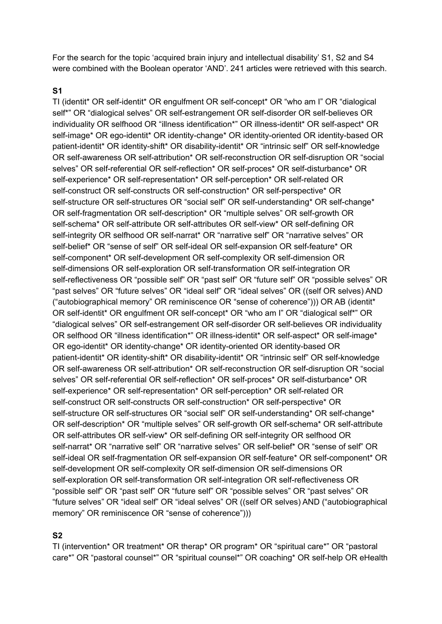For the search for the topic 'acquired brain injury and intellectual disability' S1, S2 and S4 were combined with the Boolean operator 'AND'. 241 articles were retrieved with this search.

#### **S1**

TI (identit\* OR self-identit\* OR engulfment OR self-concept\* OR "who am I" OR "dialogical self\*" OR "dialogical selves" OR self-estrangement OR self-disorder OR self-believes OR individuality OR selfhood OR "illness identification\*" OR illness-identit\* OR self-aspect\* OR self-image\* OR ego-identit\* OR identity-change\* OR identity-oriented OR identity-based OR patient-identit\* OR identity-shift\* OR disability-identit\* OR "intrinsic self" OR self-knowledge OR self-awareness OR self-attribution\* OR self-reconstruction OR self-disruption OR "social selves" OR self-referential OR self-reflection\* OR self-proces\* OR self-disturbance\* OR self-experience\* OR self-representation\* OR self-perception\* OR self-related OR self-construct OR self-constructs OR self-construction\* OR self-perspective\* OR self-structure OR self-structures OR "social self" OR self-understanding\* OR self-change\* OR self-fragmentation OR self-description\* OR "multiple selves" OR self-growth OR self-schema\* OR self-attribute OR self-attributes OR self-view\* OR self-defining OR self-integrity OR selfhood OR self-narrat<sup>\*</sup> OR "narrative self" OR "narrative selves" OR self-belief\* OR "sense of self" OR self-ideal OR self-expansion OR self-feature\* OR self-component\* OR self-development OR self-complexity OR self-dimension OR self-dimensions OR self-exploration OR self-transformation OR self-integration OR self-reflectiveness OR "possible self" OR "past self" OR "future self" OR "possible selves" OR "past selves" OR "future selves" OR "ideal self" OR "ideal selves" OR ((self OR selves) AND ("autobiographical memory" OR reminiscence OR "sense of coherence"))) OR AB (identit\* OR self-identit\* OR engulfment OR self-concept\* OR "who am I" OR "dialogical self\*" OR "dialogical selves" OR self-estrangement OR self-disorder OR self-believes OR individuality OR selfhood OR "illness identification\*" OR illness-identit\* OR self-aspect\* OR self-image\* OR ego-identit\* OR identity-change\* OR identity-oriented OR identity-based OR patient-identit\* OR identity-shift\* OR disability-identit\* OR "intrinsic self" OR self-knowledge OR self-awareness OR self-attribution\* OR self-reconstruction OR self-disruption OR "social selves" OR self-referential OR self-reflection\* OR self-proces\* OR self-disturbance\* OR self-experience\* OR self-representation\* OR self-perception\* OR self-related OR self-construct OR self-constructs OR self-construction\* OR self-perspective\* OR self-structure OR self-structures OR "social self" OR self-understanding\* OR self-change\* OR self-description\* OR "multiple selves" OR self-growth OR self-schema\* OR self-attribute OR self-attributes OR self-view\* OR self-defining OR self-integrity OR selfhood OR self-narrat\* OR "narrative self" OR "narrative selves" OR self-belief\* OR "sense of self" OR self-ideal OR self-fragmentation OR self-expansion OR self-feature\* OR self-component\* OR self-development OR self-complexity OR self-dimension OR self-dimensions OR self-exploration OR self-transformation OR self-integration OR self-reflectiveness OR "possible self" OR "past self" OR "future self" OR "possible selves" OR "past selves" OR "future selves" OR "ideal self" OR "ideal selves" OR ((self OR selves) AND ("autobiographical memory" OR reminiscence OR "sense of coherence")))

#### **S2**

TI (intervention\* OR treatment\* OR therap\* OR program\* OR "spiritual care\*" OR "pastoral care\*" OR "pastoral counsel\*" OR "spiritual counsel\*" OR coaching\* OR self-help OR eHealth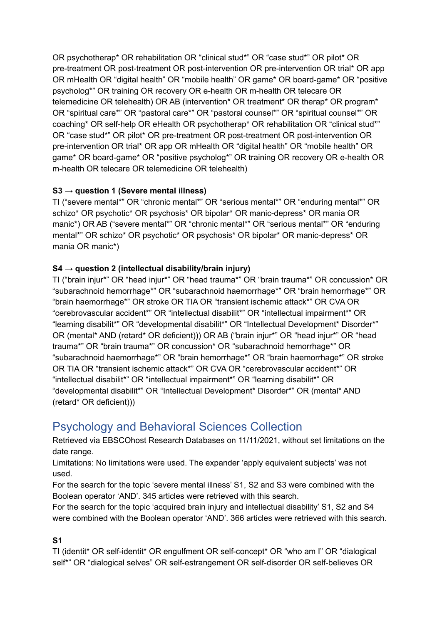OR psychotherap\* OR rehabilitation OR "clinical stud\*" OR "case stud\*" OR pilot\* OR pre-treatment OR post-treatment OR post-intervention OR pre-intervention OR trial\* OR app OR mHealth OR "digital health" OR "mobile health" OR game\* OR board-game\* OR "positive psycholog\*" OR training OR recovery OR e-health OR m-health OR telecare OR telemedicine OR telehealth) OR AB (intervention\* OR treatment\* OR therap\* OR program\* OR "spiritual care\*" OR "pastoral care\*" OR "pastoral counsel\*" OR "spiritual counsel\*" OR coaching\* OR self-help OR eHealth OR psychotherap\* OR rehabilitation OR "clinical stud\*" OR "case stud\*" OR pilot\* OR pre-treatment OR post-treatment OR post-intervention OR pre-intervention OR trial\* OR app OR mHealth OR "digital health" OR "mobile health" OR game\* OR board-game\* OR "positive psycholog\*" OR training OR recovery OR e-health OR m-health OR telecare OR telemedicine OR telehealth)

## **S3 → question 1 (Severe mental illness)**

TI ("severe mental\*" OR "chronic mental\*" OR "serious mental\*" OR "enduring mental\*" OR schizo\* OR psychotic\* OR psychosis\* OR bipolar\* OR manic-depress\* OR mania OR manic\*) OR AB ("severe mental\*" OR "chronic mental\*" OR "serious mental\*" OR "enduring mental\*" OR schizo\* OR psychotic\* OR psychosis\* OR bipolar\* OR manic-depress\* OR mania OR manic\*)

## **S4 → question 2 (intellectual disability/brain injury)**

TI ("brain injur\*" OR "head injur\*" OR "head trauma\*" OR "brain trauma\*" OR concussion\* OR "subarachnoid hemorrhage\*" OR "subarachnoid haemorrhage\*" OR "brain hemorrhage\*" OR "brain haemorrhage\*" OR stroke OR TIA OR "transient ischemic attack\*" OR CVA OR "cerebrovascular accident\*" OR "intellectual disabilit\*" OR "intellectual impairment\*" OR "learning disabilit\*" OR "developmental disabilit\*" OR "Intellectual Development\* Disorder\*" OR (mental\* AND (retard\* OR deficient))) OR AB ("brain injur\*" OR "head injur\*" OR "head trauma\*" OR "brain trauma\*" OR concussion\* OR "subarachnoid hemorrhage\*" OR "subarachnoid haemorrhage\*" OR "brain hemorrhage\*" OR "brain haemorrhage\*" OR stroke OR TIA OR "transient ischemic attack\*" OR CVA OR "cerebrovascular accident\*" OR "intellectual disabilit\*" OR "intellectual impairment\*" OR "learning disabilit\*" OR "developmental disabilit\*" OR "Intellectual Development\* Disorder\*" OR (mental\* AND (retard\* OR deficient)))

# Psychology and Behavioral Sciences Collection

Retrieved via EBSCOhost Research Databases on 11/11/2021, without set limitations on the date range.

Limitations: No limitations were used. The expander 'apply equivalent subjects' was not used.

For the search for the topic 'severe mental illness' S1, S2 and S3 were combined with the Boolean operator 'AND'. 345 articles were retrieved with this search.

For the search for the topic 'acquired brain injury and intellectual disability' S1, S2 and S4 were combined with the Boolean operator 'AND'. 366 articles were retrieved with this search.

## **S1**

TI (identit\* OR self-identit\* OR engulfment OR self-concept\* OR "who am I" OR "dialogical self\*" OR "dialogical selves" OR self-estrangement OR self-disorder OR self-believes OR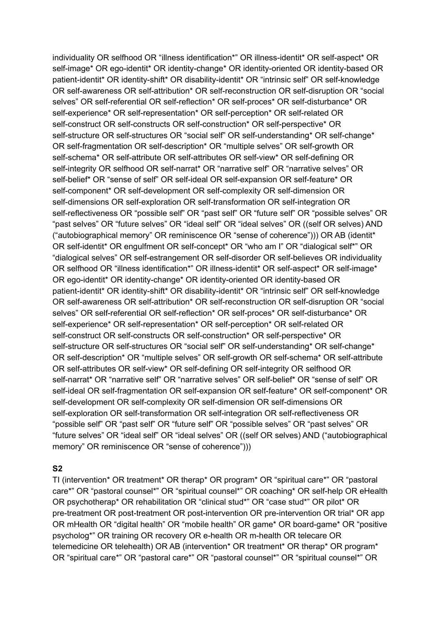individuality OR selfhood OR "illness identification\*" OR illness-identit\* OR self-aspect\* OR self-image\* OR ego-identit\* OR identity-change\* OR identity-oriented OR identity-based OR patient-identit\* OR identity-shift\* OR disability-identit\* OR "intrinsic self" OR self-knowledge OR self-awareness OR self-attribution\* OR self-reconstruction OR self-disruption OR "social selves" OR self-referential OR self-reflection\* OR self-proces\* OR self-disturbance\* OR self-experience\* OR self-representation\* OR self-perception\* OR self-related OR self-construct OR self-constructs OR self-construction\* OR self-perspective\* OR self-structure OR self-structures OR "social self" OR self-understanding\* OR self-change\* OR self-fragmentation OR self-description\* OR "multiple selves" OR self-growth OR self-schema\* OR self-attribute OR self-attributes OR self-view\* OR self-defining OR self-integrity OR selfhood OR self-narrat\* OR "narrative self" OR "narrative selves" OR self-belief\* OR "sense of self" OR self-ideal OR self-expansion OR self-feature\* OR self-component\* OR self-development OR self-complexity OR self-dimension OR self-dimensions OR self-exploration OR self-transformation OR self-integration OR self-reflectiveness OR "possible self" OR "past self" OR "future self" OR "possible selves" OR "past selves" OR "future selves" OR "ideal self" OR "ideal selves" OR ((self OR selves) AND ("autobiographical memory" OR reminiscence OR "sense of coherence"))) OR AB (identit\* OR self-identit\* OR engulfment OR self-concept\* OR "who am I" OR "dialogical self\*" OR "dialogical selves" OR self-estrangement OR self-disorder OR self-believes OR individuality OR selfhood OR "illness identification\*" OR illness-identit\* OR self-aspect\* OR self-image\* OR ego-identit\* OR identity-change\* OR identity-oriented OR identity-based OR patient-identit\* OR identity-shift\* OR disability-identit\* OR "intrinsic self" OR self-knowledge OR self-awareness OR self-attribution\* OR self-reconstruction OR self-disruption OR "social selves" OR self-referential OR self-reflection\* OR self-proces\* OR self-disturbance\* OR self-experience\* OR self-representation\* OR self-perception\* OR self-related OR self-construct OR self-constructs OR self-construction\* OR self-perspective\* OR self-structure OR self-structures OR "social self" OR self-understanding\* OR self-change\* OR self-description\* OR "multiple selves" OR self-growth OR self-schema\* OR self-attribute OR self-attributes OR self-view\* OR self-defining OR self-integrity OR selfhood OR self-narrat\* OR "narrative self" OR "narrative selves" OR self-belief\* OR "sense of self" OR self-ideal OR self-fragmentation OR self-expansion OR self-feature\* OR self-component\* OR self-development OR self-complexity OR self-dimension OR self-dimensions OR self-exploration OR self-transformation OR self-integration OR self-reflectiveness OR "possible self" OR "past self" OR "future self" OR "possible selves" OR "past selves" OR "future selves" OR "ideal self" OR "ideal selves" OR ((self OR selves) AND ("autobiographical memory" OR reminiscence OR "sense of coherence")))

#### **S2**

TI (intervention\* OR treatment\* OR therap\* OR program\* OR "spiritual care\*" OR "pastoral care\*" OR "pastoral counsel\*" OR "spiritual counsel\*" OR coaching\* OR self-help OR eHealth OR psychotherap\* OR rehabilitation OR "clinical stud\*" OR "case stud\*" OR pilot\* OR pre-treatment OR post-treatment OR post-intervention OR pre-intervention OR trial\* OR app OR mHealth OR "digital health" OR "mobile health" OR game\* OR board-game\* OR "positive psycholog\*" OR training OR recovery OR e-health OR m-health OR telecare OR telemedicine OR telehealth) OR AB (intervention\* OR treatment\* OR therap\* OR program\* OR "spiritual care\*" OR "pastoral care\*" OR "pastoral counsel\*" OR "spiritual counsel\*" OR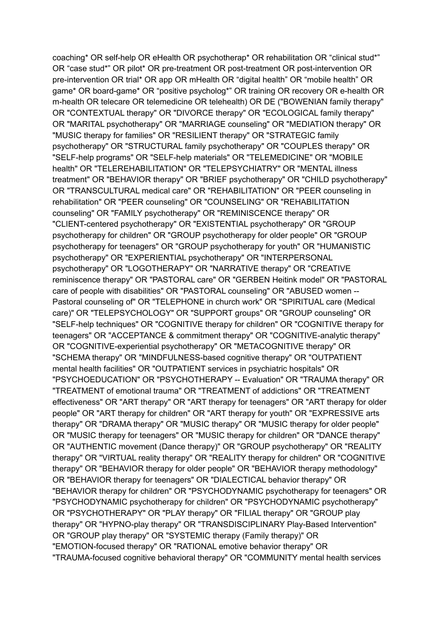coaching\* OR self-help OR eHealth OR psychotherap\* OR rehabilitation OR "clinical stud\*" OR "case stud\*" OR pilot\* OR pre-treatment OR post-treatment OR post-intervention OR pre-intervention OR trial\* OR app OR mHealth OR "digital health" OR "mobile health" OR game\* OR board-game\* OR "positive psycholog\*" OR training OR recovery OR e-health OR m-health OR telecare OR telemedicine OR telehealth) OR DE ("BOWENIAN family therapy" OR "CONTEXTUAL therapy" OR "DIVORCE therapy" OR "ECOLOGICAL family therapy" OR "MARITAL psychotherapy" OR "MARRIAGE counseling" OR "MEDIATION therapy" OR "MUSIC therapy for families" OR "RESILIENT therapy" OR "STRATEGIC family psychotherapy" OR "STRUCTURAL family psychotherapy" OR "COUPLES therapy" OR "SELF-help programs" OR "SELF-help materials" OR "TELEMEDICINE" OR "MOBILE health" OR "TELEREHABILITATION" OR "TELEPSYCHIATRY" OR "MENTAL illness treatment" OR "BEHAVIOR therapy" OR "BRIEF psychotherapy" OR "CHILD psychotherapy" OR "TRANSCULTURAL medical care" OR "REHABILITATION" OR "PEER counseling in rehabilitation" OR "PEER counseling" OR "COUNSELING" OR "REHABILITATION counseling" OR "FAMILY psychotherapy" OR "REMINISCENCE therapy" OR "CLIENT-centered psychotherapy" OR "EXISTENTIAL psychotherapy" OR "GROUP psychotherapy for children" OR "GROUP psychotherapy for older people" OR "GROUP psychotherapy for teenagers" OR "GROUP psychotherapy for youth" OR "HUMANISTIC psychotherapy" OR "EXPERIENTIAL psychotherapy" OR "INTERPERSONAL psychotherapy" OR "LOGOTHERAPY" OR "NARRATIVE therapy" OR "CREATIVE reminiscence therapy" OR "PASTORAL care" OR "GERBEN Heitink model" OR "PASTORAL care of people with disabilities" OR "PASTORAL counseling" OR "ABUSED women -- Pastoral counseling of" OR "TELEPHONE in church work" OR "SPIRITUAL care (Medical care)" OR "TELEPSYCHOLOGY" OR "SUPPORT groups" OR "GROUP counseling" OR "SELF-help techniques" OR "COGNITIVE therapy for children" OR "COGNITIVE therapy for teenagers" OR "ACCEPTANCE & commitment therapy" OR "COGNITIVE-analytic therapy" OR "COGNITIVE-experiential psychotherapy" OR "METACOGNITIVE therapy" OR "SCHEMA therapy" OR "MINDFULNESS-based cognitive therapy" OR "OUTPATIENT mental health facilities" OR "OUTPATIENT services in psychiatric hospitals" OR "PSYCHOEDUCATION" OR "PSYCHOTHERAPY -- Evaluation" OR "TRAUMA therapy" OR "TREATMENT of emotional trauma" OR "TREATMENT of addictions" OR "TREATMENT effectiveness" OR "ART therapy" OR "ART therapy for teenagers" OR "ART therapy for older people" OR "ART therapy for children" OR "ART therapy for youth" OR "EXPRESSIVE arts therapy" OR "DRAMA therapy" OR "MUSIC therapy" OR "MUSIC therapy for older people" OR "MUSIC therapy for teenagers" OR "MUSIC therapy for children" OR "DANCE therapy" OR "AUTHENTIC movement (Dance therapy)" OR "GROUP psychotherapy" OR "REALITY therapy" OR "VIRTUAL reality therapy" OR "REALITY therapy for children" OR "COGNITIVE therapy" OR "BEHAVIOR therapy for older people" OR "BEHAVIOR therapy methodology" OR "BEHAVIOR therapy for teenagers" OR "DIALECTICAL behavior therapy" OR "BEHAVIOR therapy for children" OR "PSYCHODYNAMIC psychotherapy for teenagers" OR "PSYCHODYNAMIC psychotherapy for children" OR "PSYCHODYNAMIC psychotherapy" OR "PSYCHOTHERAPY" OR "PLAY therapy" OR "FILIAL therapy" OR "GROUP play therapy" OR "HYPNO-play therapy" OR "TRANSDISCIPLINARY Play-Based Intervention" OR "GROUP play therapy" OR "SYSTEMIC therapy (Family therapy)" OR "EMOTION-focused therapy" OR "RATIONAL emotive behavior therapy" OR "TRAUMA-focused cognitive behavioral therapy" OR "COMMUNITY mental health services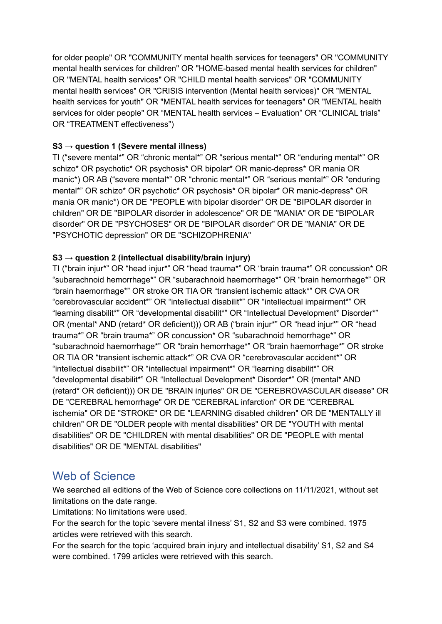for older people" OR "COMMUNITY mental health services for teenagers" OR "COMMUNITY mental health services for children" OR "HOME-based mental health services for children" OR "MENTAL health services" OR "CHILD mental health services" OR "COMMUNITY mental health services" OR "CRISIS intervention (Mental health services)" OR "MENTAL health services for youth" OR "MENTAL health services for teenagers" OR "MENTAL health services for older people" OR "MENTAL health services – Evaluation" OR "CLINICAL trials" OR "TREATMENT effectiveness")

#### **S3 → question 1 (Severe mental illness)**

TI ("severe mental\*" OR "chronic mental\*" OR "serious mental\*" OR "enduring mental\*" OR schizo\* OR psychotic\* OR psychosis\* OR bipolar\* OR manic-depress\* OR mania OR manic\*) OR AB ("severe mental\*" OR "chronic mental\*" OR "serious mental\*" OR "enduring mental\*" OR schizo\* OR psychotic\* OR psychosis\* OR bipolar\* OR manic-depress\* OR mania OR manic\*) OR DE "PEOPLE with bipolar disorder" OR DE "BIPOLAR disorder in children" OR DE "BIPOLAR disorder in adolescence" OR DE "MANIA" OR DE "BIPOLAR disorder" OR DE "PSYCHOSES" OR DE "BIPOLAR disorder" OR DE "MANIA" OR DE "PSYCHOTIC depression" OR DE "SCHIZOPHRENIA"

## **S3 → question 2 (intellectual disability/brain injury)**

TI ("brain injur\*" OR "head injur\*" OR "head trauma\*" OR "brain trauma\*" OR concussion\* OR "subarachnoid hemorrhage\*" OR "subarachnoid haemorrhage\*" OR "brain hemorrhage\*" OR "brain haemorrhage\*" OR stroke OR TIA OR "transient ischemic attack\*" OR CVA OR "cerebrovascular accident\*" OR "intellectual disabilit\*" OR "intellectual impairment\*" OR "learning disabilit\*" OR "developmental disabilit\*" OR "Intellectual Development\* Disorder\*" OR (mental\* AND (retard\* OR deficient))) OR AB ("brain injur\*" OR "head injur\*" OR "head trauma\*" OR "brain trauma\*" OR concussion\* OR "subarachnoid hemorrhage\*" OR "subarachnoid haemorrhage\*" OR "brain hemorrhage\*" OR "brain haemorrhage\*" OR stroke OR TIA OR "transient ischemic attack\*" OR CVA OR "cerebrovascular accident\*" OR "intellectual disabilit\*" OR "intellectual impairment\*" OR "learning disabilit\*" OR "developmental disabilit\*" OR "Intellectual Development\* Disorder\*" OR (mental\* AND (retard\* OR deficient))) OR DE "BRAIN injuries" OR DE "CEREBROVASCULAR disease" OR DE "CEREBRAL hemorrhage" OR DE "CEREBRAL infarction" OR DE "CEREBRAL ischemia" OR DE "STROKE" OR DE "LEARNING disabled children" OR DE "MENTALLY ill children" OR DE "OLDER people with mental disabilities" OR DE "YOUTH with mental disabilities" OR DE "CHILDREN with mental disabilities" OR DE "PEOPLE with mental disabilities" OR DE "MENTAL disabilities"

# Web of Science

We searched all editions of the Web of Science core collections on 11/11/2021, without set limitations on the date range.

Limitations: No limitations were used.

For the search for the topic 'severe mental illness' S1, S2 and S3 were combined. 1975 articles were retrieved with this search.

For the search for the topic 'acquired brain injury and intellectual disability' S1, S2 and S4 were combined. 1799 articles were retrieved with this search.